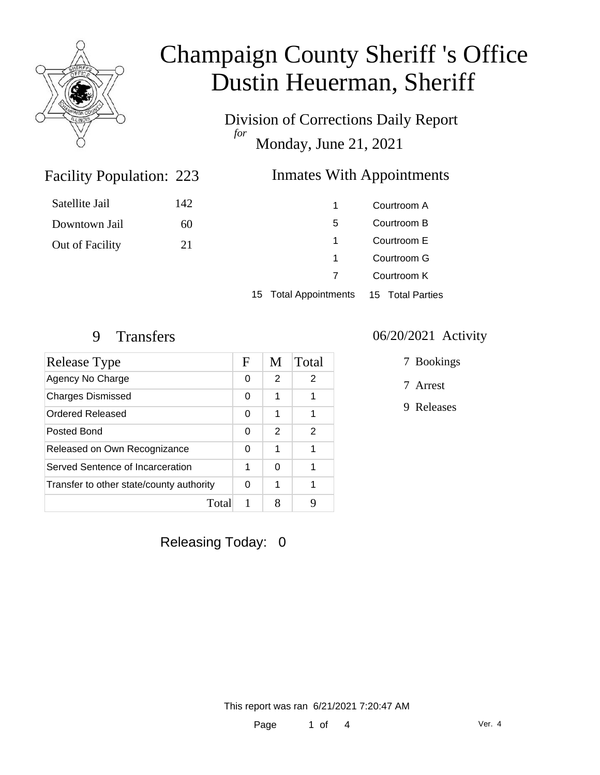

# Champaign County Sheriff 's Office Dustin Heuerman, Sheriff

Division of Corrections Daily Report *for* Monday, June 21, 2021

### Inmates With Appointments

| Satellite Jail  | 142 |  |
|-----------------|-----|--|
| Downtown Jail   | 60  |  |
| Out of Facility | 21  |  |
|                 |     |  |

|   | Courtroom A |
|---|-------------|
| 5 | Courtroom B |
| 1 | Courtroom E |
| 1 | Courtroom G |
| 7 | Courtroom K |
|   |             |

15 Total Appointments 15 Total Parties

Facility Population: 223

| Release Type                             |   | M             | Total |
|------------------------------------------|---|---------------|-------|
| Agency No Charge                         | 0 | $\mathcal{P}$ | 2     |
| <b>Charges Dismissed</b>                 | 0 | 1             | 1     |
| Ordered Released                         | 0 | 1             |       |
| Posted Bond                              | 0 | 2             | 2     |
| Released on Own Recognizance             |   | 1             |       |
| Served Sentence of Incarceration         |   | 0             |       |
| Transfer to other state/county authority |   | 1             | 1     |
| Total                                    | 1 | 8             | g     |

### 9 Transfers 06/20/2021 Activity

- 7 Bookings
- 7 Arrest
- 9 Releases

Releasing Today: 0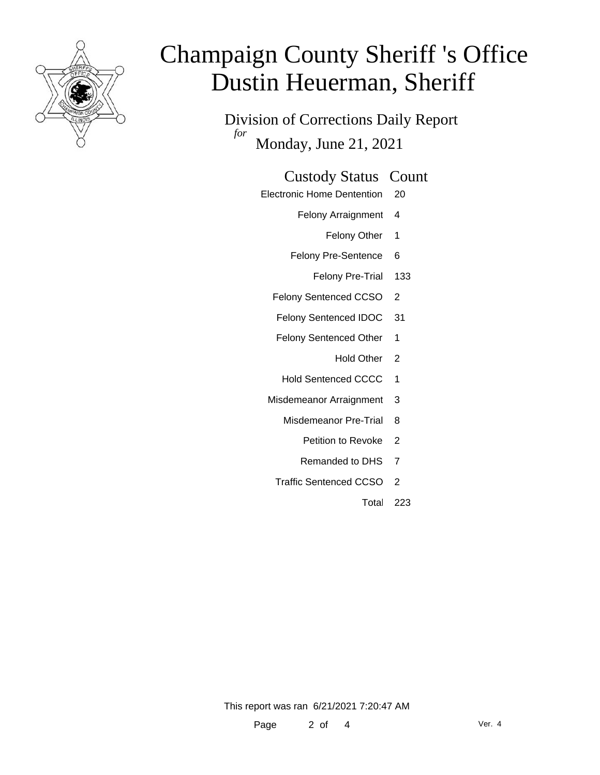

# Champaign County Sheriff 's Office Dustin Heuerman, Sheriff

Division of Corrections Daily Report *for* Monday, June 21, 2021

### Custody Status Count

- Electronic Home Dentention 20
	- Felony Arraignment 4
		- Felony Other 1
	- Felony Pre-Sentence 6
		- Felony Pre-Trial 133
	- Felony Sentenced CCSO 2
	- Felony Sentenced IDOC 31
	- Felony Sentenced Other 1
		- Hold Other 2
	- Hold Sentenced CCCC 1
	- Misdemeanor Arraignment 3
		- Misdemeanor Pre-Trial 8
			- Petition to Revoke 2
			- Remanded to DHS 7
		- Traffic Sentenced CCSO 2
			- Total 223

This report was ran 6/21/2021 7:20:47 AM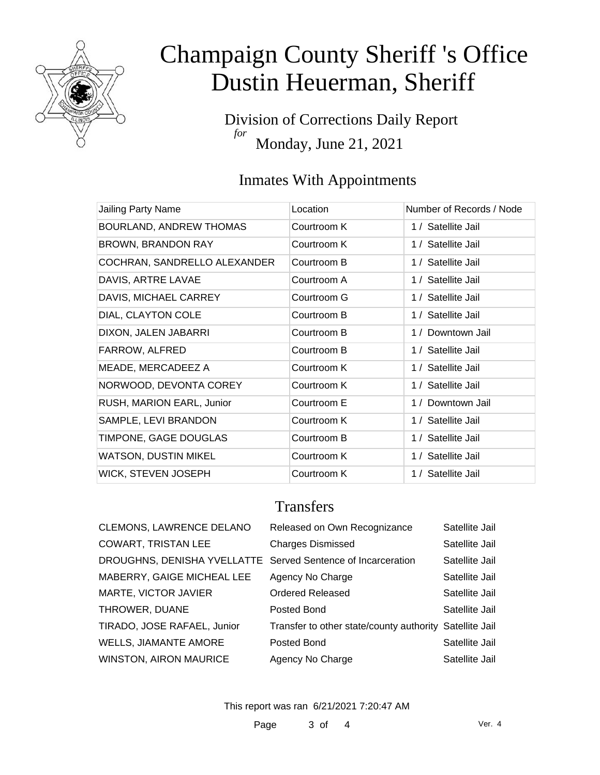

# Champaign County Sheriff 's Office Dustin Heuerman, Sheriff

Division of Corrections Daily Report *for* Monday, June 21, 2021

## Inmates With Appointments

| Jailing Party Name           | Location    | Number of Records / Node |
|------------------------------|-------------|--------------------------|
| BOURLAND, ANDREW THOMAS      | Courtroom K | 1 / Satellite Jail       |
| <b>BROWN, BRANDON RAY</b>    | Courtroom K | 1 / Satellite Jail       |
| COCHRAN, SANDRELLO ALEXANDER | Courtroom B | 1 / Satellite Jail       |
| DAVIS, ARTRE LAVAE           | Courtroom A | 1 / Satellite Jail       |
| DAVIS, MICHAEL CARREY        | Courtroom G | 1 / Satellite Jail       |
| DIAL, CLAYTON COLE           | Courtroom B | 1 / Satellite Jail       |
| DIXON, JALEN JABARRI         | Courtroom B | 1 / Downtown Jail        |
| FARROW, ALFRED               | Courtroom B | 1 / Satellite Jail       |
| MEADE, MERCADEEZ A           | Courtroom K | 1 / Satellite Jail       |
| NORWOOD, DEVONTA COREY       | Courtroom K | 1 / Satellite Jail       |
| RUSH, MARION EARL, Junior    | Courtroom E | 1 / Downtown Jail        |
| SAMPLE, LEVI BRANDON         | Courtroom K | 1 / Satellite Jail       |
| TIMPONE, GAGE DOUGLAS        | Courtroom B | 1 / Satellite Jail       |
| <b>WATSON, DUSTIN MIKEL</b>  | Courtroom K | 1 / Satellite Jail       |
| <b>WICK, STEVEN JOSEPH</b>   | Courtroom K | 1 / Satellite Jail       |

### **Transfers**

| <b>CLEMONS, LAWRENCE DELANO</b>                              | Released on Own Recognizance                            | Satellite Jail |
|--------------------------------------------------------------|---------------------------------------------------------|----------------|
| <b>COWART, TRISTAN LEE</b>                                   | <b>Charges Dismissed</b>                                | Satellite Jail |
| DROUGHNS, DENISHA YVELLATTE Served Sentence of Incarceration |                                                         | Satellite Jail |
| MABERRY, GAIGE MICHEAL LEE                                   | Agency No Charge                                        | Satellite Jail |
| MARTE, VICTOR JAVIER                                         | Ordered Released                                        | Satellite Jail |
| THROWER, DUANE                                               | Posted Bond                                             | Satellite Jail |
| TIRADO, JOSE RAFAEL, Junior                                  | Transfer to other state/county authority Satellite Jail |                |
| <b>WELLS, JIAMANTE AMORE</b>                                 | Posted Bond                                             | Satellite Jail |
| WINSTON, AIRON MAURICE                                       | Agency No Charge                                        | Satellite Jail |

This report was ran 6/21/2021 7:20:47 AM